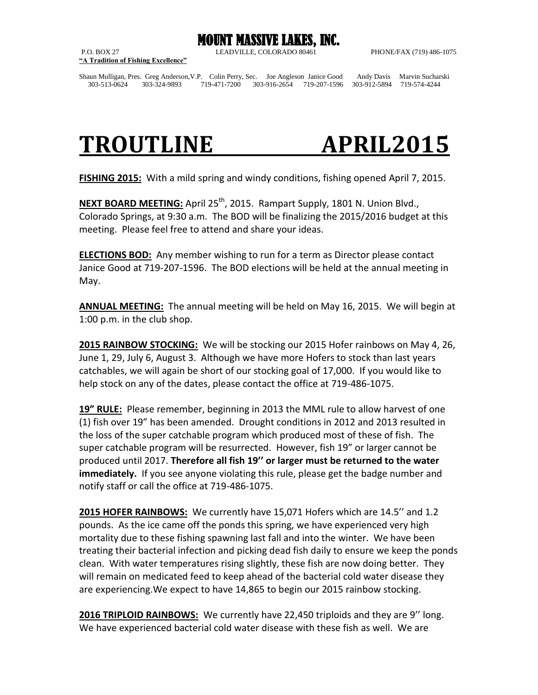

**"A Tradition of Fishing Excellence"**

P.O. BOX 27 LEADVILLE, COLORADO 80461 PHONE/FAX (719) 486-1075

Shaun Mulligan, Pres. Greg Anderson,V.P. Colin Perry, Sec. Joe Angleson Janice Good Andy Davis Marvin Sucharski 303-513-0624 303-324-9893 719-471-7200 303-916-2654 719-207-1596 303-912-5894 719-574-4244

## **TROUTLINE APRIL2015**

**FISHING 2015:** With a mild spring and windy conditions, fishing opened April 7, 2015.

**NEXT BOARD MEETING:** April 25th, 2015. Rampart Supply, 1801 N. Union Blvd., Colorado Springs, at 9:30 a.m. The BOD will be finalizing the 2015/2016 budget at this meeting. Please feel free to attend and share your ideas.

**ELECTIONS BOD:** Any member wishing to run for a term as Director please contact Janice Good at 719-207-1596. The BOD elections will be held at the annual meeting in May.

**ANNUAL MEETING:** The annual meeting will be held on May 16, 2015. We will begin at 1:00 p.m. in the club shop.

**2015 RAINBOW STOCKING:** We will be stocking our 2015 Hofer rainbows on May 4, 26, June 1, 29, July 6, August 3. Although we have more Hofers to stock than last years catchables, we will again be short of our stocking goal of 17,000. If you would like to help stock on any of the dates, please contact the office at 719-486-1075.

**19" RULE:** Please remember, beginning in 2013 the MML rule to allow harvest of one (1) fish over 19" has been amended. Drought conditions in 2012 and 2013 resulted in the loss of the super catchable program which produced most of these of fish. The super catchable program will be resurrected. However, fish 19" or larger cannot be produced until 2017. **Therefore all fish 19'' or larger must be returned to the water immediately.** If you see anyone violating this rule, please get the badge number and notify staff or call the office at 719-486-1075.

**2015 HOFER RAINBOWS:** We currently have 15,071 Hofers which are 14.5'' and 1.2 pounds. As the ice came off the ponds this spring, we have experienced very high mortality due to these fishing spawning last fall and into the winter. We have been treating their bacterial infection and picking dead fish daily to ensure we keep the ponds clean. With water temperatures rising slightly, these fish are now doing better. They will remain on medicated feed to keep ahead of the bacterial cold water disease they are experiencing.We expect to have 14,865 to begin our 2015 rainbow stocking.

**2016 TRIPLOID RAINBOWS:** We currently have 22,450 triploids and they are 9'' long. We have experienced bacterial cold water disease with these fish as well. We are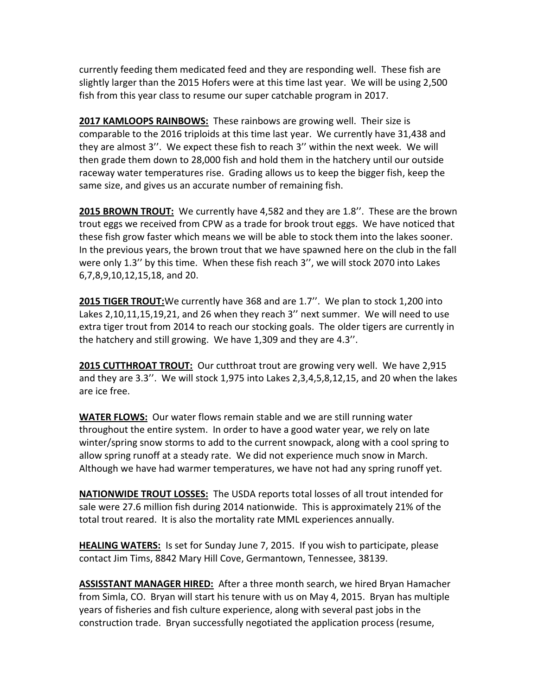currently feeding them medicated feed and they are responding well. These fish are slightly larger than the 2015 Hofers were at this time last year. We will be using 2,500 fish from this year class to resume our super catchable program in 2017.

**2017 KAMLOOPS RAINBOWS:** These rainbows are growing well. Their size is comparable to the 2016 triploids at this time last year. We currently have 31,438 and they are almost 3''. We expect these fish to reach 3'' within the next week. We will then grade them down to 28,000 fish and hold them in the hatchery until our outside raceway water temperatures rise. Grading allows us to keep the bigger fish, keep the same size, and gives us an accurate number of remaining fish.

**2015 BROWN TROUT:** We currently have 4,582 and they are 1.8''. These are the brown trout eggs we received from CPW as a trade for brook trout eggs. We have noticed that these fish grow faster which means we will be able to stock them into the lakes sooner. In the previous years, the brown trout that we have spawned here on the club in the fall were only 1.3'' by this time. When these fish reach 3'', we will stock 2070 into Lakes 6,7,8,9,10,12,15,18, and 20.

**2015 TIGER TROUT:**We currently have 368 and are 1.7''. We plan to stock 1,200 into Lakes 2,10,11,15,19,21, and 26 when they reach 3'' next summer. We will need to use extra tiger trout from 2014 to reach our stocking goals. The older tigers are currently in the hatchery and still growing. We have 1,309 and they are 4.3''.

**2015 CUTTHROAT TROUT:** Our cutthroat trout are growing very well. We have 2,915 and they are 3.3''. We will stock 1,975 into Lakes 2,3,4,5,8,12,15, and 20 when the lakes are ice free.

**WATER FLOWS:** Our water flows remain stable and we are still running water throughout the entire system. In order to have a good water year, we rely on late winter/spring snow storms to add to the current snowpack, along with a cool spring to allow spring runoff at a steady rate. We did not experience much snow in March. Although we have had warmer temperatures, we have not had any spring runoff yet.

**NATIONWIDE TROUT LOSSES:** The USDA reports total losses of all trout intended for sale were 27.6 million fish during 2014 nationwide. This is approximately 21% of the total trout reared. It is also the mortality rate MML experiences annually.

**HEALING WATERS:** Is set for Sunday June 7, 2015. If you wish to participate, please contact Jim Tims, 8842 Mary Hill Cove, Germantown, Tennessee, 38139.

**ASSISSTANT MANAGER HIRED:** After a three month search, we hired Bryan Hamacher from Simla, CO. Bryan will start his tenure with us on May 4, 2015. Bryan has multiple years of fisheries and fish culture experience, along with several past jobs in the construction trade. Bryan successfully negotiated the application process (resume,